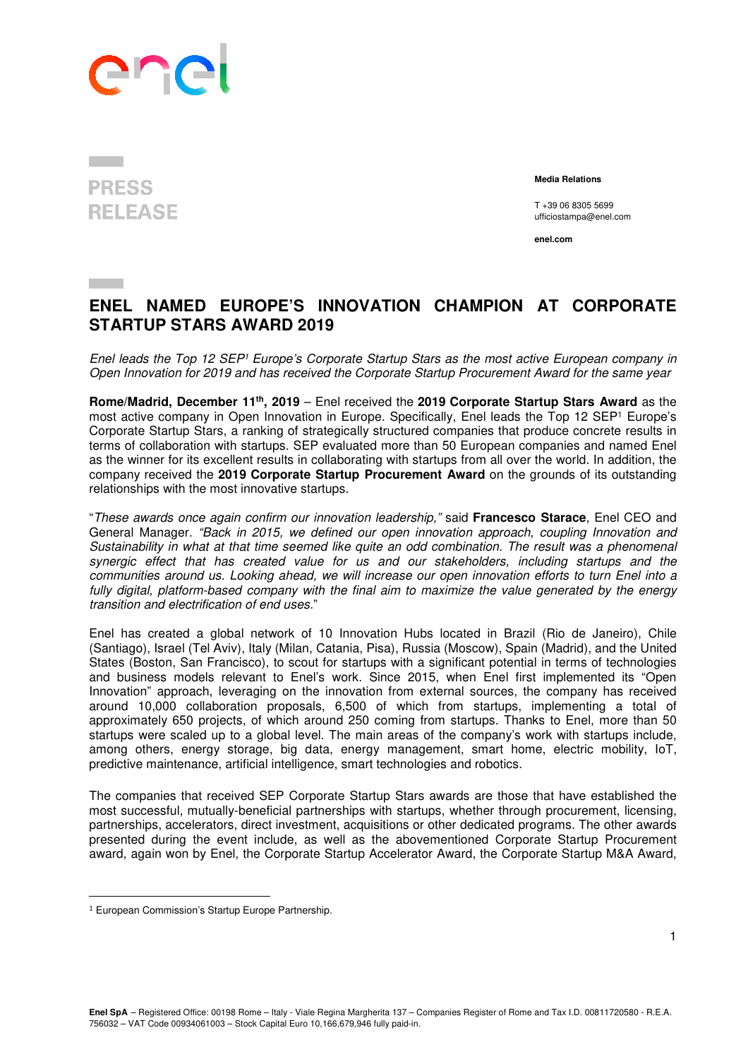

## **PRESS RELEASE**

 **Media Relations** 

T +39 06 8305 5699 ufficiostampa@enel.com

**enel.com**

## **ENEL NAMED EUROPE'S INNOVATION CHAMPION AT CORPORATE STARTUP STARS AWARD 2019**

Enel leads the Top 12 SEP<sup>1</sup> Europe's Corporate Startup Stars as the most active European company in *Open Innovation for 2019 and has received the Corporate Startup Procurement Award for the same year* 

**Rome/Madrid, December 11th, 2019** – Enel received the **2019 Corporate Startup Stars Award** as the most active company in Open Innovation in Europe. Specifically, Enel leads the Top 12 SEP<sup>1</sup> Europe's Corporate Startup Stars, a ranking of strategically structured companies that produce concrete results in terms of collaboration with startups. SEP evaluated more than 50 European companies and named Enel as the winner for its excellent results in collaborating with startups from all over the world. In addition, the company received the **2019 Corporate Startup Procurement Award** on the grounds of its outstanding relationships with the most innovative startups.

"*These awards once again confirm our innovation leadership,"* said **Francesco Starace**, Enel CEO and General Manager*. "Back in 2015, we defined our open innovation approach, coupling Innovation and Sustainability in what at that time seemed like quite an odd combination. The result was a phenomenal synergic effect that has created value for us and our stakeholders, including startups and the communities around us. Looking ahead, we will increase our open innovation efforts to turn Enel into a fully digital, platform-based company with the final aim to maximize the value generated by the energy transition and electrification of end uses.*"

Enel has created a global network of 10 Innovation Hubs located in Brazil (Rio de Janeiro), Chile (Santiago), Israel (Tel Aviv), Italy (Milan, Catania, Pisa), Russia (Moscow), Spain (Madrid), and the United States (Boston, San Francisco), to scout for startups with a significant potential in terms of technologies and business models relevant to Enel's work. Since 2015, when Enel first implemented its "Open Innovation" approach, leveraging on the innovation from external sources, the company has received around 10,000 collaboration proposals, 6,500 of which from startups, implementing a total of approximately 650 projects, of which around 250 coming from startups. Thanks to Enel, more than 50 startups were scaled up to a global level. The main areas of the company's work with startups include, among others, energy storage, big data, energy management, smart home, electric mobility, IoT, predictive maintenance, artificial intelligence, smart technologies and robotics.

The companies that received SEP Corporate Startup Stars awards are those that have established the most successful, mutually-beneficial partnerships with startups, whether through procurement, licensing, partnerships, accelerators, direct investment, acquisitions or other dedicated programs. The other awards presented during the event include, as well as the abovementioned Corporate Startup Procurement award, again won by Enel, the Corporate Startup Accelerator Award, the Corporate Startup M&A Award,

 $\overline{a}$ 

<sup>1</sup> European Commission's Startup Europe Partnership.